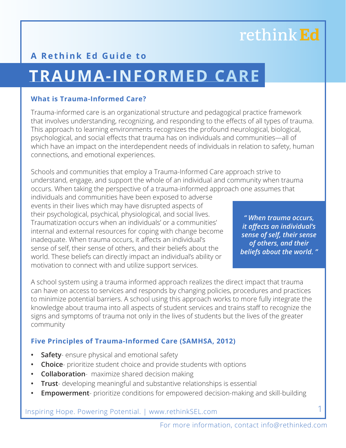### **A Rethink Ed Guide to**

# **TRAUMA-INFORMED CARE**

#### **What is Trauma-Informed Care?**

Trauma-informed care is an organizational structure and pedagogical practice framework that involves understanding, recognizing, and responding to the effects of all types of trauma. This approach to learning environments recognizes the profound neurological, biological, psychological, and social effects that trauma has on individuals and communities—all of which have an impact on the interdependent needs of individuals in relation to safety, human connections, and emotional experiences.

Schools and communities that employ a Trauma-Informed Care approach strive to understand, engage, and support the whole of an individual and community when trauma occurs. When taking the perspective of a trauma-informed approach one assumes that

individuals and communities have been exposed to adverse events in their lives which may have disrupted aspects of their psychological, psychical, physiological, and social lives. Traumatization occurs when an individuals' or a communities' internal and external resources for coping with change become inadequate. When trauma occurs, it affects an individual's sense of self, their sense of others, and their beliefs about the world. These beliefs can directly impact an individual's ability or motivation to connect with and utilize support services.

*" When trauma occurs, it aff ects an individual's sense of self, their sense of others, and their beliefs about the world. "*

A school system using a trauma informed approach realizes the direct impact that trauma can have on access to services and responds by changing policies, procedures and practices to minimize potential barriers. A school using this approach works to more fully integrate the knowledge about trauma into all aspects of student services and trains staff to recognize the signs and symptoms of trauma not only in the lives of students but the lives of the greater community

#### **Five Principles of Trauma-Informed Care (SAMHSA, 2012)**

- **Safety** ensure physical and emotional safety
- **Choice** prioritize student choice and provide students with options
- **Collaboration** maximize shared decision making
- **Trust** developing meaningful and substantive relationships is essential
- **Empowerment** prioritize conditions for empowered decision-making and skill-building

Inspiring Hope. Powering Potential. | www.rethinkSEL.com

For more information, contact info@rethinked.com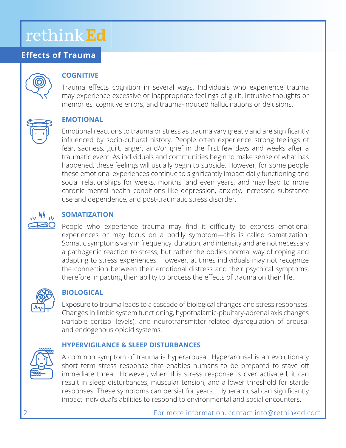### **Effects of Trauma**



#### **COGNITIVE**

Trauma effects cognition in several ways. Individuals who experience trauma may experience excessive or inappropriate feelings of guilt, intrusive thoughts or memories, cognitive errors, and trauma-induced hallucinations or delusions.



#### **EMOTIONAL**

Emotional reactions to trauma or stress as trauma vary greatly and are significantly influenced by socio-cultural history. People often experience strong feelings of fear, sadness, guilt, anger, and/or grief in the first few days and weeks after a traumatic event. As individuals and communities begin to make sense of what has happened, these feelings will usually begin to subside. However, for some people these emotional experiences continue to significantly impact daily functioning and social relationships for weeks, months, and even years, and may lead to more chronic mental health conditions like depression, anxiety, increased substance use and dependence, and post-traumatic stress disorder.

## $M_{11}$

#### **SOMATIZATION**

People who experience trauma may find it difficulty to express emotional experiences or may focus on a bodily symptom—this is called somatization. Somatic symptoms vary in frequency, duration, and intensity and are not necessary a pathogenic reaction to stress, but rather the bodies normal way of coping and adapting to stress experiences. However, at times individuals may not recognize the connection between their emotional distress and their psychical symptoms, therefore impacting their ability to process the effects of trauma on their life.



#### **BIOLOGICAL**

Exposure to trauma leads to a cascade of biological changes and stress responses. Changes in limbic system functioning, hypothalamic-pituitary-adrenal axis changes (variable cortisol levels), and neurotransmitter-related dysregulation of arousal and endogenous opioid systems.

#### **HYPERVIGILANCE & SLEEP DISTURBANCES**



A common symptom of trauma is hyperarousal. Hyperarousal is an evolutionary short term stress response that enables humans to be prepared to stave off immediate threat. However, when this stress response is over activated, it can result in sleep disturbances, muscular tension, and a lower threshold for startle responses. These symptoms can persist for years. Hyperarousal can significantly impact individual's abilities to respond to environmental and social encounters.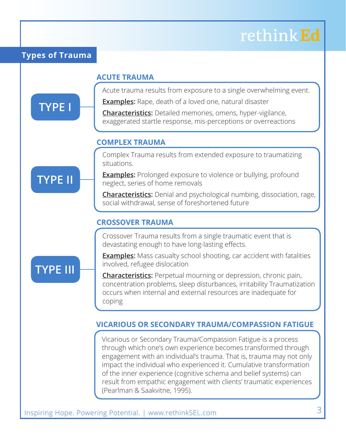#### **Types of Trauma**

**TYPE I**

**TYPE II**

**TYPE III**

#### **ACUTE TRAUMA**

Acute trauma results from exposure to a single overwhelming event.

**Examples:** Rape, death of a loved one, natural disaster

**Characteristics:** Detailed memories, omens, hyper-vigilance, exaggerated startle response, mis-perceptions or overreactions

#### **COMPLEX TRAUMA**

Complex Trauma results from extended exposure to traumatizing situations.

**Examples:** Prolonged exposure to violence or bullying, profound neglect, series of home removals

**Characteristics:** Denial and psychological numbing, dissociation, rage, social withdrawal, sense of foreshortened future

#### **CROSSOVER TRAUMA**

Crossover Trauma results from a single traumatic event that is devastating enough to have long-lasting effects.

**Examples:** Mass casualty school shooting, car accident with fatalities involved, refugee dislocation

**Characteristics:** Perpetual mourning or depression, chronic pain, concentration problems, sleep disturbances, irritability Traumatization occurs when internal and external resources are inadequate for coping

#### **VICARIOUS OR SECONDARY TRAUMA/COMPASSION FATIGUE**

Vicarious or Secondary Trauma/Compassion Fatigue is a process through which one's own experience becomes transformed through engagement with an individual's trauma. That is, trauma may not only impact the individual who experienced it. Cumulative transformation of the inner experience (cognitive schema and belief systems) can result from empathic engagement with clients' traumatic experiences (Pearlman & Saakvitne, 1995).

Inspiring Hope. Powering Potential. | www.rethinkSEL.com 3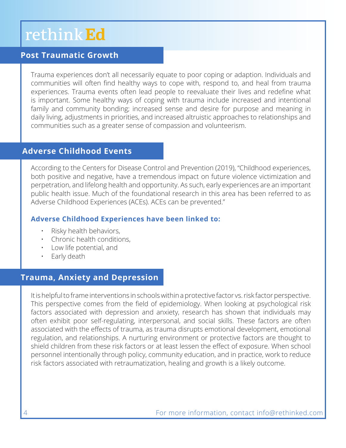### **Post Traumatic Growth**

Trauma experiences don't all necessarily equate to poor coping or adaption. Individuals and communities will often find healthy ways to cope with, respond to, and heal from trauma experiences. Trauma events often lead people to reevaluate their lives and redefine what is important. Some healthy ways of coping with trauma include increased and intentional family and community bonding; increased sense and desire for purpose and meaning in daily living, adjustments in priorities, and increased altruistic approaches to relationships and communities such as a greater sense of compassion and volunteerism.

#### **Adverse Childhood Events**

According to the Centers for Disease Control and Prevention (2019), "Childhood experiences, both positive and negative, have a tremendous impact on future violence victimization and perpetration, and lifelong health and opportunity. As such, early experiences are an important public health issue. Much of the foundational research in this area has been referred to as Adverse Childhood Experiences (ACEs). ACEs can be prevented."

#### **Adverse Childhood Experiences have been linked to:**

- Risky health behaviors,
- Chronic health conditions,
- Low life potential, and
- Early death

### **Trauma, Anxiety and Depression**

It is helpful to frame interventions in schools within a protective factor vs. risk factor perspective. This perspective comes from the field of epidemiology. When looking at psychological risk factors associated with depression and anxiety, research has shown that individuals may often exhibit poor self-regulating, interpersonal, and social skills. These factors are often associated with the effects of trauma, as trauma disrupts emotional development, emotional regulation, and relationships. A nurturing environment or protective factors are thought to shield children from these risk factors or at least lessen the effect of exposure. When school personnel intentionally through policy, community education, and in practice, work to reduce risk factors associated with retraumatization, healing and growth is a likely outcome.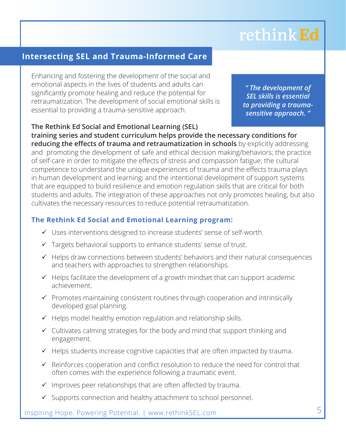### **Intersecting SEL and Trauma-Informed Care**

Enhancing and fostering the development of the social and emotional aspects in the lives of students and adults can significantly promote healing and reduce the potential for retraumatization. The development of social emotional skills is essential to providing a trauma-sensitive approach.

*" The development of SEL skills is essential to providing a traumasensitive approach. "*

**The Rethink Ed Social and Emotional Learning (SEL) training series and student curriculum helps provide the necessary conditions for reducing the effects of trauma and retraumatization in schools** by explicitly addressing and promoting the development of safe and ethical decision making/behaviors; the practice of self-care in order to mitigate the effects of stress and compassion fatigue; the cultural competence to understand the unique experiences of trauma and the effects trauma plays in human development and learning; and the intentional development of support systems that are equipped to build resilience and emotion regulation skills that are critical for both students and adults. The integration of these approaches not only promotes healing, but also cultivates the necessary resources to reduce potential retraumatization.

#### **The Rethink Ed Social and Emotional Learning program:**

- Uses interventions designed to increase students' sense of self-worth.
- $\checkmark$  Targets behavioral supports to enhance students' sense of trust.
- $\checkmark$  Helps draw connections between students' behaviors and their natural consequences and teachers with approaches to strengthen relationships.
- $\checkmark$  Helps facilitate the development of a growth mindset that can support academic achievement.
- $\checkmark$  Promotes maintaining consistent routines through cooperation and intrinsically developed goal planning.
- $\checkmark$  Helps model healthy emotion regulation and relationship skills.
- $\checkmark$  Cultivates calming strategies for the body and mind that support thinking and engagement.
- $\checkmark$  Helps students increase cognitive capacities that are often impacted by trauma.
- $\checkmark$  Reinforces cooperation and conflict resolution to reduce the need for control that often comes with the experience following a traumatic event.
- $\checkmark$  Improves peer relationships that are often affected by trauma.
- $\checkmark$  Supports connection and healthy attachment to school personnel.

Inspiring Hope. Powering Potential. | www.rethinkSEL.com 5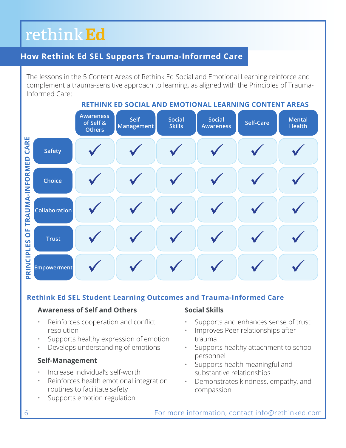### **How Rethink Ed SEL Supports Trauma-Informed Care**

The lessons in the 5 Content Areas of Rethink Ed Social and Emotional Learning reinforce and complement a trauma-sensitive approach to learning, as aligned with the Principles of Trauma-Informed Care:

**RETHINK ED SOCIAL AND EMOTIONAL LEARNING CONTENT AREAS Awareness Self-Social Awareness Self-Care Mental Social of Self & Skills Management Health Others** CARE **PRINCIPLES OF TRAUMA-INFORMED CARE**  $\checkmark$  $\checkmark$  $\checkmark$  $\checkmark$  $\checkmark$  $\checkmark$ **Safety** PRINCIPLES OF TRAUMA-INFORMED  $\checkmark$  $\checkmark$  $\checkmark$  $\checkmark$  $\checkmark$  $\checkmark$ **Choice Collabora** tion in 1970.<br>The contract of the contract of the contract of the contract of the contract of the contract of the contract o<br>The contract of the contract of the contract of the contract of the contract of the contract of t  $\checkmark$  $\checkmark$  $\checkmark$  $\checkmark$  $\checkmark$  $\checkmark$ **Collaboration**  $\checkmark$  $\checkmark$  $\checkmark$  $\checkmark$  $\checkmark$  $\checkmark$ empower-trust<br>Participal power-trust<br>Participal power-trust<br>Participal power-trust<br>Participal power-trust<br>Participal power-trust<br>Participal power-trust<br>Participal power-trust<br>Participal power-trust<br>Participal power-trust<br>P ment<br>mental  $\checkmark$  $\checkmark$  $\checkmark$  $\checkmark$  $\checkmark$  $\checkmark$ **Empowerment**

#### **Rethink Ed SEL Student Learning Outcomes and Trauma-Informed Care**

#### **Awareness of Self and Others**

- $\cdot$  Reinforces cooperation and conflict resolution
- Supports healthy expression of emotion
- Develops understanding of emotions

#### **Self-Management**

- Increase individual's self-worth
- Reinforces health emotional integration routines to facilitate safety
- Supports emotion regulation

#### **Social Skills**

- Supports and enhances sense of trust
- Improves Peer relationships after trauma
- Supports healthy attachment to school personnel
- Supports health meaningful and substantive relationships
- Demonstrates kindness, empathy, and compassion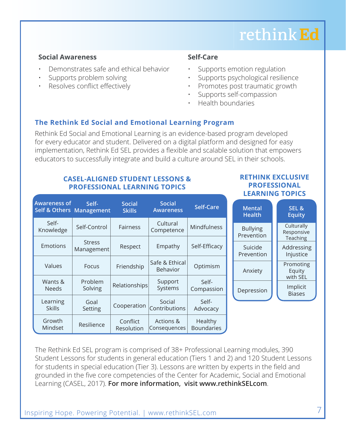#### **Social Awareness**

- Demonstrates safe and ethical behavior
- Supports problem solving
- Resolves conflict effectively

#### **Self-Care**

- Supports emotion regulation
- Supports psychological resilience
- Promotes post traumatic growth
- Supports self-compassion
- Health boundaries

#### **The Rethink Ed Social and Emotional Learning Program**

for every educator and student. Delivered on a digital platform and designed for easy ior every educator and student. Benvered on a digital platform and designed for easy<br>implementation, Rethink Ed SEL provides a flexible and scalable solution that empowers Rethink Ed Social and Emotional Learning is an evidence-based program developed educators to successfully integrate and build a culture around SEL in their schools.

#### **CASEL-ALIGNED STUDENT LESSONS & PROFESSIONAL LEARNING TOPICS**

| <b>Awareness of</b><br>Self & Others Management | Self-                       | <b>Social</b><br><b>Skills</b> | <b>Social</b><br><b>Awareness</b> | <b>Self-Care</b>             |
|-------------------------------------------------|-----------------------------|--------------------------------|-----------------------------------|------------------------------|
| Self-<br>Knowledge                              | Self-Control                | <b>Fairness</b>                | Cultural<br>Competence            | Mindfulness                  |
| Emotions                                        | <b>Stress</b><br>Management | Respect                        | Empathy                           | Self-Efficacy                |
| Values                                          | Focus                       | Friendship                     | Safe & Ethical<br><b>Behavior</b> | Optimism                     |
| Wants &<br><b>Needs</b>                         | Problem<br>Solving          | Relationships                  | Support<br>Systems                | Self-<br>Compassion          |
| Learning<br><b>Skills</b>                       | Goal<br>Setting             | Cooperation                    | Social<br>Contributions           | Self-<br>Advocacy            |
| Growth<br>Mindset                               | Resilience                  | Conflict<br>Resolution         | Actions &<br>Consequences         | Healthy<br><b>Boundaries</b> |

#### **RETHINK EXCLUSIVE PROFESSIONAL LEARNING TOPICS**

| <b>Mental</b><br><b>Health</b> | SEL <sub>&amp;</sub><br><b>Equity</b> |  |
|--------------------------------|---------------------------------------|--|
| <b>Bullying</b><br>Prevention  | Culturally<br>Responsive<br>Teaching  |  |
| Suicide<br>Prevention          | Addressing<br>Injustice               |  |
| Anxiety                        | Promoting<br>Equity<br>with SEL       |  |
| Depression                     | Implicit<br><b>Biases</b>             |  |

**Social**

The Rethink Ed SEL program is comprised of 38+ Professional Learning modules, 390 Student Lessons for students in general education (Tiers 1 and 2) and 120 Student Lessons for students in special education (Tier 3). Lessons are written by experts in the field and grounded in the five core competencies of the Center for Academic, Social and Emotional Learning (CASEL, 2017). **For more information, visit www.rethinkSELcom**.

**Self-**